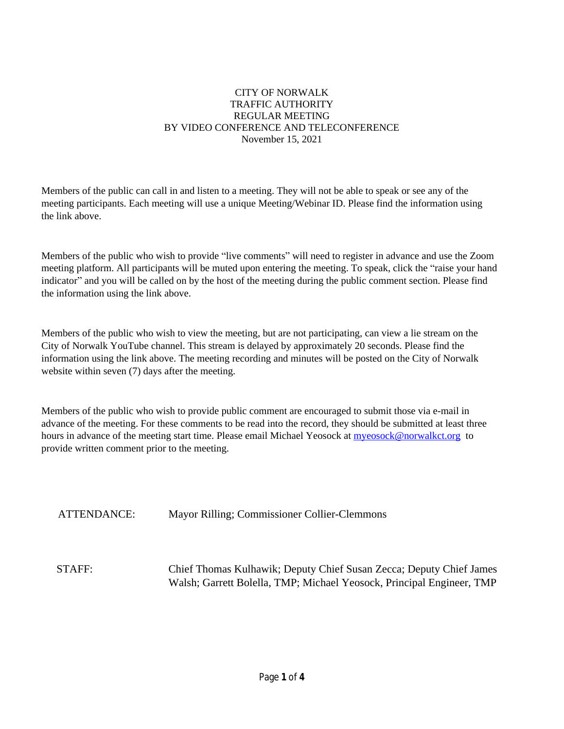#### CITY OF NORWALK TRAFFIC AUTHORITY REGULAR MEETING BY VIDEO CONFERENCE AND TELECONFERENCE November 15, 2021

Members of the public can call in and listen to a meeting. They will not be able to speak or see any of the meeting participants. Each meeting will use a unique Meeting/Webinar ID. Please find the information using the link above.

Members of the public who wish to provide "live comments" will need to register in advance and use the Zoom meeting platform. All participants will be muted upon entering the meeting. To speak, click the "raise your hand indicator" and you will be called on by the host of the meeting during the public comment section. Please find the information using the link above.

Members of the public who wish to view the meeting, but are not participating, can view a lie stream on the City of Norwalk YouTube channel. This stream is delayed by approximately 20 seconds. Please find the information using the link above. The meeting recording and minutes will be posted on the City of Norwalk website within seven (7) days after the meeting.

Members of the public who wish to provide public comment are encouraged to submit those via e-mail in advance of the meeting. For these comments to be read into the record, they should be submitted at least three hours in advance of the meeting start time. Please email Michael Yeosock at [myeosock@norwalkct.org](mailto:myeosock@norwalkct.org) to provide written comment prior to the meeting.

ATTENDANCE: Mayor Rilling; Commissioner Collier-Clemmons

STAFF: Chief Thomas Kulhawik; Deputy Chief Susan Zecca; Deputy Chief James Walsh; Garrett Bolella, TMP; Michael Yeosock, Principal Engineer, TMP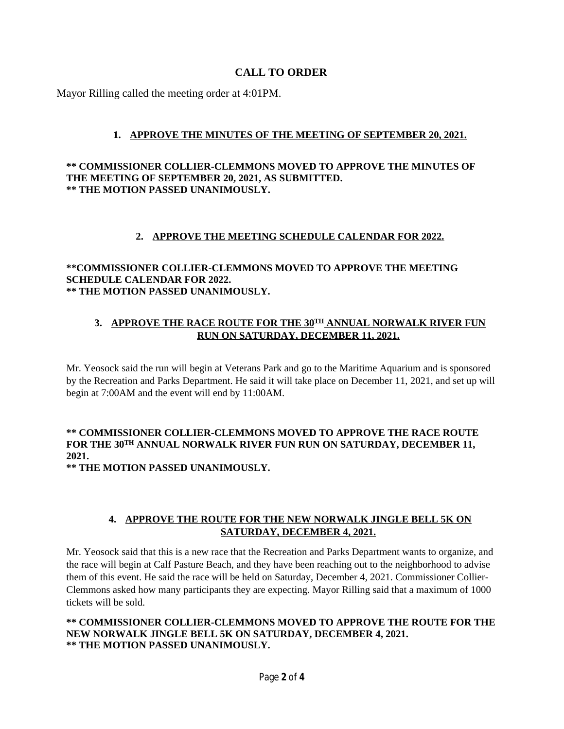## **CALL TO ORDER**

Mayor Rilling called the meeting order at 4:01PM.

## **1. APPROVE THE MINUTES OF THE MEETING OF SEPTEMBER 20, 2021.**

#### **\*\* COMMISSIONER COLLIER-CLEMMONS MOVED TO APPROVE THE MINUTES OF THE MEETING OF SEPTEMBER 20, 2021, AS SUBMITTED. \*\* THE MOTION PASSED UNANIMOUSLY.**

## **2. APPROVE THE MEETING SCHEDULE CALENDAR FOR 2022.**

#### **\*\*COMMISSIONER COLLIER-CLEMMONS MOVED TO APPROVE THE MEETING SCHEDULE CALENDAR FOR 2022. \*\* THE MOTION PASSED UNANIMOUSLY.**

### **3. APPROVE THE RACE ROUTE FOR THE 30TH ANNUAL NORWALK RIVER FUN RUN ON SATURDAY, DECEMBER 11, 2021.**

Mr. Yeosock said the run will begin at Veterans Park and go to the Maritime Aquarium and is sponsored by the Recreation and Parks Department. He said it will take place on December 11, 2021, and set up will begin at 7:00AM and the event will end by 11:00AM.

# **\*\* COMMISSIONER COLLIER-CLEMMONS MOVED TO APPROVE THE RACE ROUTE FOR THE 30TH ANNUAL NORWALK RIVER FUN RUN ON SATURDAY, DECEMBER 11, 2021.**

**\*\* THE MOTION PASSED UNANIMOUSLY.**

## **4. APPROVE THE ROUTE FOR THE NEW NORWALK JINGLE BELL 5K ON SATURDAY, DECEMBER 4, 2021.**

Mr. Yeosock said that this is a new race that the Recreation and Parks Department wants to organize, and the race will begin at Calf Pasture Beach, and they have been reaching out to the neighborhood to advise them of this event. He said the race will be held on Saturday, December 4, 2021. Commissioner Collier-Clemmons asked how many participants they are expecting. Mayor Rilling said that a maximum of 1000 tickets will be sold.

**\*\* COMMISSIONER COLLIER-CLEMMONS MOVED TO APPROVE THE ROUTE FOR THE NEW NORWALK JINGLE BELL 5K ON SATURDAY, DECEMBER 4, 2021. \*\* THE MOTION PASSED UNANIMOUSLY.**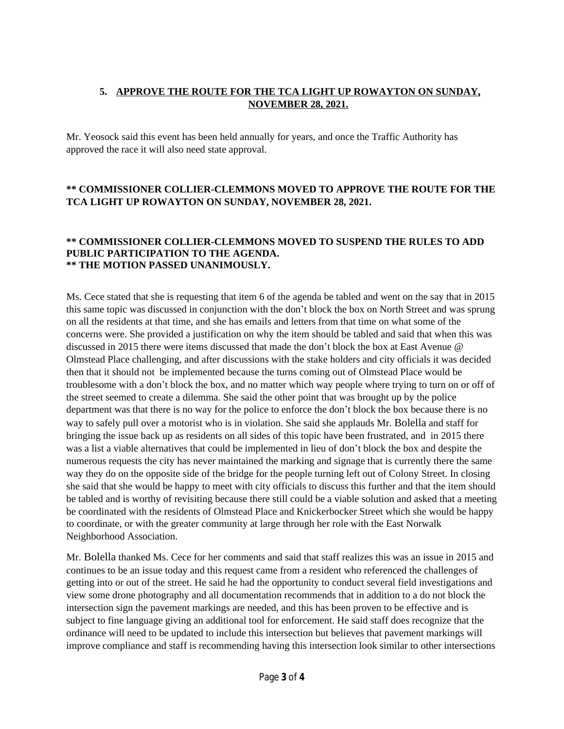### **5. APPROVE THE ROUTE FOR THE TCA LIGHT UP ROWAYTON ON SUNDAY, NOVEMBER 28, 2021.**

Mr. Yeosock said this event has been held annually for years, and once the Traffic Authority has approved the race it will also need state approval.

### **\*\* COMMISSIONER COLLIER-CLEMMONS MOVED TO APPROVE THE ROUTE FOR THE TCA LIGHT UP ROWAYTON ON SUNDAY, NOVEMBER 28, 2021.**

#### **\*\* COMMISSIONER COLLIER-CLEMMONS MOVED TO SUSPEND THE RULES TO ADD PUBLIC PARTICIPATION TO THE AGENDA. \*\* THE MOTION PASSED UNANIMOUSLY.**

Ms. Cece stated that she is requesting that item 6 of the agenda be tabled and went on the say that in 2015 this same topic was discussed in conjunction with the don't block the box on North Street and was sprung on all the residents at that time, and she has emails and letters from that time on what some of the concerns were. She provided a justification on why the item should be tabled and said that when this was discussed in 2015 there were items discussed that made the don't block the box at East Avenue @ Olmstead Place challenging, and after discussions with the stake holders and city officials it was decided then that it should not be implemented because the turns coming out of Olmstead Place would be troublesome with a don't block the box, and no matter which way people where trying to turn on or off of the street seemed to create a dilemma. She said the other point that was brought up by the police department was that there is no way for the police to enforce the don't block the box because there is no way to safely pull over a motorist who is in violation. She said she applauds Mr. Bolella and staff for bringing the issue back up as residents on all sides of this topic have been frustrated, and in 2015 there was a list a viable alternatives that could be implemented in lieu of don't block the box and despite the numerous requests the city has never maintained the marking and signage that is currently there the same way they do on the opposite side of the bridge for the people turning left out of Colony Street. In closing she said that she would be happy to meet with city officials to discuss this further and that the item should be tabled and is worthy of revisiting because there still could be a viable solution and asked that a meeting be coordinated with the residents of Olmstead Place and Knickerbocker Street which she would be happy to coordinate, or with the greater community at large through her role with the East Norwalk Neighborhood Association.

Mr. Bolella thanked Ms. Cece for her comments and said that staff realizes this was an issue in 2015 and continues to be an issue today and this request came from a resident who referenced the challenges of getting into or out of the street. He said he had the opportunity to conduct several field investigations and view some drone photography and all documentation recommends that in addition to a do not block the intersection sign the pavement markings are needed, and this has been proven to be effective and is subject to fine language giving an additional tool for enforcement. He said staff does recognize that the ordinance will need to be updated to include this intersection but believes that pavement markings will improve compliance and staff is recommending having this intersection look similar to other intersections